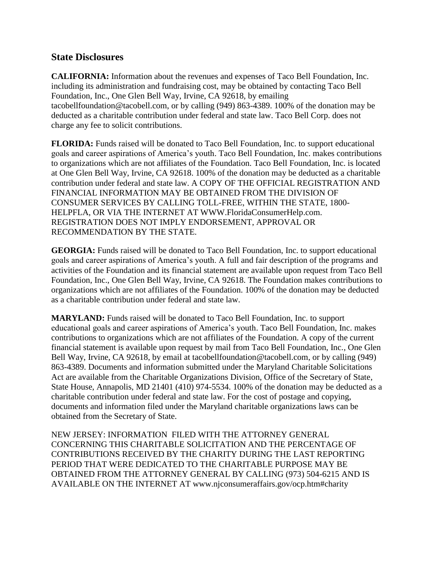## **State Disclosures**

**CALIFORNIA:** Information about the revenues and expenses of Taco Bell Foundation, Inc. including its administration and fundraising cost, may be obtained by contacting Taco Bell Foundation, Inc., One Glen Bell Way, Irvine, CA 92618, by emailing tacobellfoundation@tacobell.com, or by calling (949) 863-4389. 100% of the donation may be deducted as a charitable contribution under federal and state law. Taco Bell Corp. does not charge any fee to solicit contributions.

**FLORIDA:** Funds raised will be donated to Taco Bell Foundation, Inc. to support educational goals and career aspirations of America's youth. Taco Bell Foundation, Inc. makes contributions to organizations which are not affiliates of the Foundation. Taco Bell Foundation, Inc. is located at One Glen Bell Way, Irvine, CA 92618. 100% of the donation may be deducted as a charitable contribution under federal and state law. A COPY OF THE OFFICIAL REGISTRATION AND FINANCIAL INFORMATION MAY BE OBTAINED FROM THE DIVISION OF CONSUMER SERVICES BY CALLING TOLL-FREE, WITHIN THE STATE, 1800- HELPFLA, OR VIA THE INTERNET AT WWW.FloridaConsumerHelp.com. REGISTRATION DOES NOT IMPLY ENDORSEMENT, APPROVAL OR RECOMMENDATION BY THE STATE.

**GEORGIA:** Funds raised will be donated to Taco Bell Foundation, Inc. to support educational goals and career aspirations of America's youth. A full and fair description of the programs and activities of the Foundation and its financial statement are available upon request from Taco Bell Foundation, Inc., One Glen Bell Way, Irvine, CA 92618. The Foundation makes contributions to organizations which are not affiliates of the Foundation. 100% of the donation may be deducted as a charitable contribution under federal and state law.

**MARYLAND:** Funds raised will be donated to Taco Bell Foundation, Inc. to support educational goals and career aspirations of America's youth. Taco Bell Foundation, Inc. makes contributions to organizations which are not affiliates of the Foundation. A copy of the current financial statement is available upon request by mail from Taco Bell Foundation, Inc., One Glen Bell Way, Irvine, CA 92618, by email at tacobell foundation @tacobell.com, or by calling (949) 863-4389. Documents and information submitted under the Maryland Charitable Solicitations Act are available from the Charitable Organizations Division, Office of the Secretary of State, State House, Annapolis, MD 21401 (410) 974-5534. 100% of the donation may be deducted as a charitable contribution under federal and state law. For the cost of postage and copying, documents and information filed under the Maryland charitable organizations laws can be obtained from the Secretary of State.

NEW JERSEY: INFORMATION FILED WITH THE ATTORNEY GENERAL CONCERNING THIS CHARITABLE SOLICITATION AND THE PERCENTAGE OF CONTRIBUTIONS RECEIVED BY THE CHARITY DURING THE LAST REPORTING PERIOD THAT WERE DEDICATED TO THE CHARITABLE PURPOSE MAY BE OBTAINED FROM THE ATTORNEY GENERAL BY CALLING (973) 504-6215 AND IS AVAILABLE ON THE INTERNET AT www.njconsumeraffairs.gov/ocp.htm#charity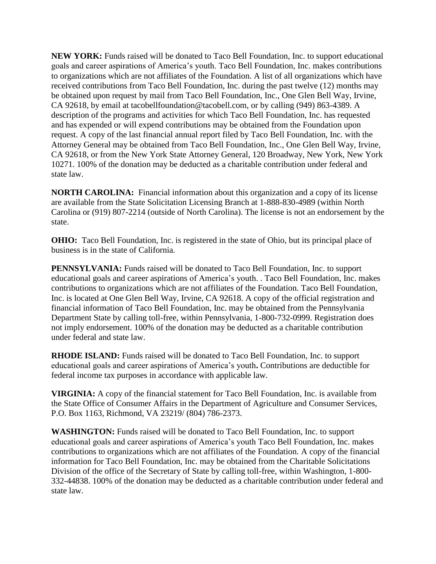**NEW YORK:** Funds raised will be donated to Taco Bell Foundation, Inc. to support educational goals and career aspirations of America's youth. Taco Bell Foundation, Inc. makes contributions to organizations which are not affiliates of the Foundation. A list of all organizations which have received contributions from Taco Bell Foundation, Inc. during the past twelve (12) months may be obtained upon request by mail from Taco Bell Foundation, Inc., One Glen Bell Way, Irvine, CA 92618, by email at tacobellfoundation@tacobell.com, or by calling (949) 863-4389. A description of the programs and activities for which Taco Bell Foundation, Inc. has requested and has expended or will expend contributions may be obtained from the Foundation upon request. A copy of the last financial annual report filed by Taco Bell Foundation, Inc. with the Attorney General may be obtained from Taco Bell Foundation, Inc., One Glen Bell Way, Irvine, CA 92618, or from the New York State Attorney General, 120 Broadway, New York, New York 10271. 100% of the donation may be deducted as a charitable contribution under federal and state law.

**NORTH CAROLINA:** Financial information about this organization and a copy of its license are available from the State Solicitation Licensing Branch at 1-888-830-4989 (within North Carolina or (919) 807-2214 (outside of North Carolina). The license is not an endorsement by the state.

**OHIO:** Taco Bell Foundation, Inc. is registered in the state of Ohio, but its principal place of business is in the state of California.

**PENNSYLVANIA:** Funds raised will be donated to Taco Bell Foundation, Inc. to support educational goals and career aspirations of America's youth. . Taco Bell Foundation, Inc. makes contributions to organizations which are not affiliates of the Foundation. Taco Bell Foundation, Inc. is located at One Glen Bell Way, Irvine, CA 92618. A copy of the official registration and financial information of Taco Bell Foundation, Inc. may be obtained from the Pennsylvania Department State by calling toll-free, within Pennsylvania, 1-800-732-0999. Registration does not imply endorsement. 100% of the donation may be deducted as a charitable contribution under federal and state law.

**RHODE ISLAND:** Funds raised will be donated to Taco Bell Foundation, Inc. to support educational goals and career aspirations of America's youth**.** Contributions are deductible for federal income tax purposes in accordance with applicable law.

**VIRGINIA:** A copy of the financial statement for Taco Bell Foundation, Inc. is available from the State Office of Consumer Affairs in the Department of Agriculture and Consumer Services, P.O. Box 1163, Richmond, VA 23219/ (804) 786-2373.

**WASHINGTON:** Funds raised will be donated to Taco Bell Foundation, Inc. to support educational goals and career aspirations of America's youth Taco Bell Foundation, Inc. makes contributions to organizations which are not affiliates of the Foundation. A copy of the financial information for Taco Bell Foundation, Inc. may be obtained from the Charitable Solicitations Division of the office of the Secretary of State by calling toll-free, within Washington, 1-800- 332-44838. 100% of the donation may be deducted as a charitable contribution under federal and state law.